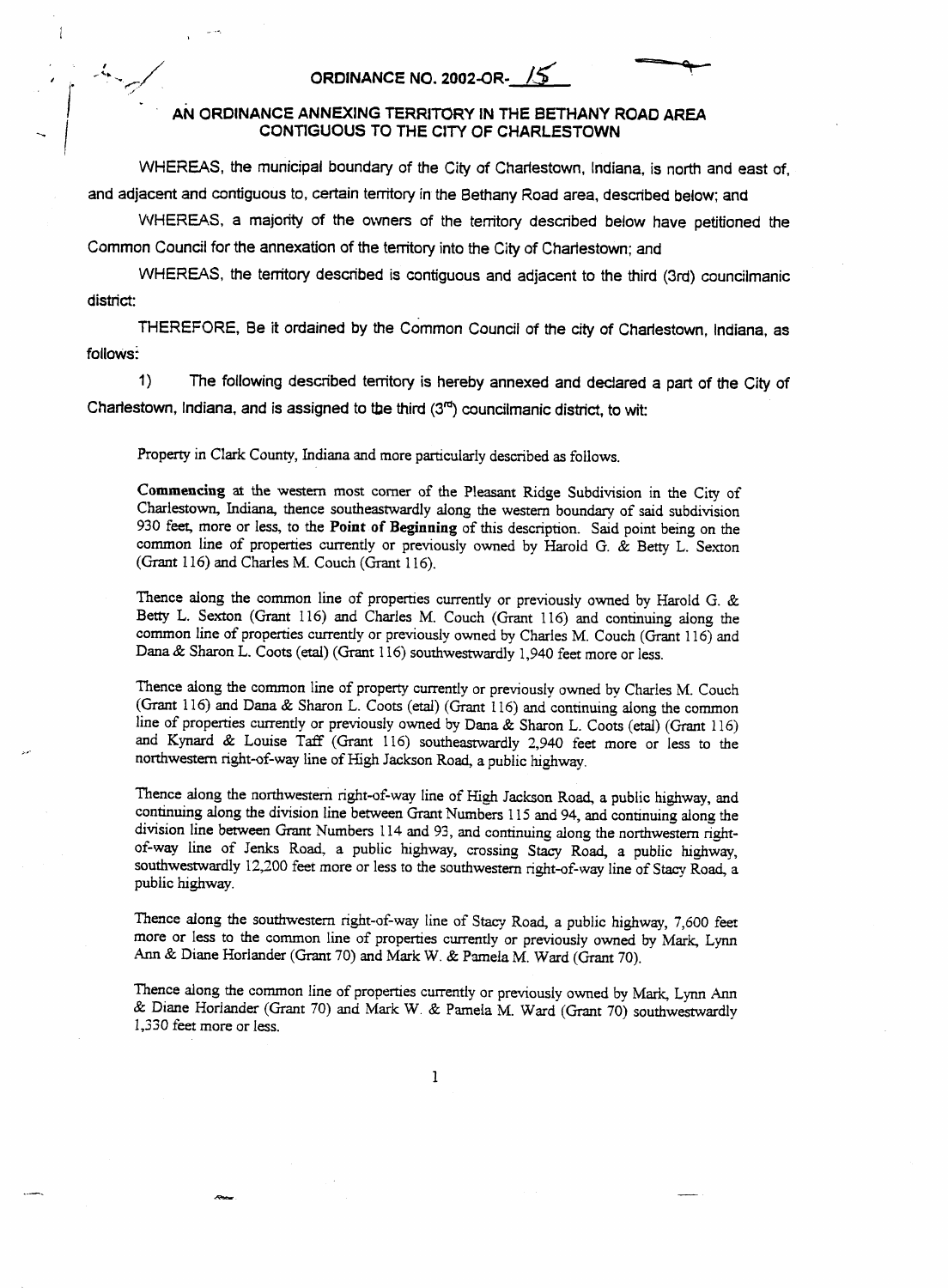## **ORDINANCE NO. 2002-OR-** *15*

 $\overline{1}$ 

## **AN ORDINANCE ANNEXlNG TERRITORY IN THE BETHANY ROAD AREA CONTIGUOUS TO THE** CITY **OF CHARLESTOWN**

WHEREAS, **the municipal boundary** *of* **the** City *of* **Charlestown, Indiana, is** north **and east** of, **and adjacent and contiguous** to, **certain territory in the Bethany Road area, described below: and** 

WHEREAS, **a** majority **of the owners** *of* **the** territory **described below have petitioned the Common Council for the annexation** of **the territory into the City of Charlestown; and** 

WHEREAS, **the territory described is contiguous and adjacent** to **the third (3rd) councilmanic district:** 

THEREFORE, **Be** it **ordained by** *the* **Common Council of the city of Charlestown, Indiana, as follows** 

1) **The following described** territory **is hereby annexed and declared a part** *of* **the** City *of*  **Charlestown, Indiana, and is assigned to the third (3d) councilmanic district, to** wit:

Property in **CIark** County, Indiana and more particularly described **as** follows.

**Commencing ai** the western **most** comer of the Pleasant Ridge Subdivision in the City of Charlestown, Indiana, thence southeastwardly along the western boundary of said subdivision 930 feet more or less, to **the Point of Beginning** of **this** description. Said point being on the common line of properties currently or previously owned by Harold G. & **Betty** L. **Sexton**  (Grant 116) and Charles M. Couch *(Grant* 116).

Thence along the common line of properties currently or previously owned by Harold G. & Betty L. **Sexton** (Grant 116) and Charles M. Couch (Grant 116) and continuing along the common line of properties currently or previously owned **by** Charles M. Couch (Grant 11 6) **and**  Dana & **Sharon** L. Coots *(etal)* **(Grant** 1 16) southwestwardly 1,940 feet more or less.

Thence **dong** the common line of property currently or previously owned by **Charles M.** Couch (Grant 116) and Dana & **Sharon** L. Coots *(etal)* (Grant 1 16) and continuing along the common line of properties currently or previously owned by **Dana** & **Sharon** L. Coots **(etal)** (Grant 116) and **Kynard** & Louise Taff (Grant 116) southeastwardly 2,940 feet more or less to the **northwestern** right-of-way line of **High Jackson** Road, a public highway.

Thence **dong** the northwestern right-of-way line of High **Jackson** Road, a public highway, and continuing along the division line between Grant Numbers 1 15 and 94, and continuing dong the division line between *Grant* Numbers 114 **and** 93, and continuing **dong** the northwestern rightof-way line of **Jenks Road.** a public highway, crossing **Stacy** Road, a public highway, southwestwardly 12,200 feet more or less to the southwestern right-of-way line of Stacy Road, a public highway.

Thence along the southwestern right-of-way line of Stacy Road, **a** public highway, 7,600 feet more or **less** to the common line of properties currently or previously owned **by** Mark Lynn *Ann* & Diane Horlander (Grant 70) and **Mark** W. & Pamela M. Ward (Grant **70).** 

Thence **along** the common line of properties currently or previously owned by **Mark,** Lynn *Ann*  & Diane Horlander (Grant 70) and **Mark** W. & Pamela M. Ward *(Grant 70)* southwestwardly 1,330 feet more or less.

1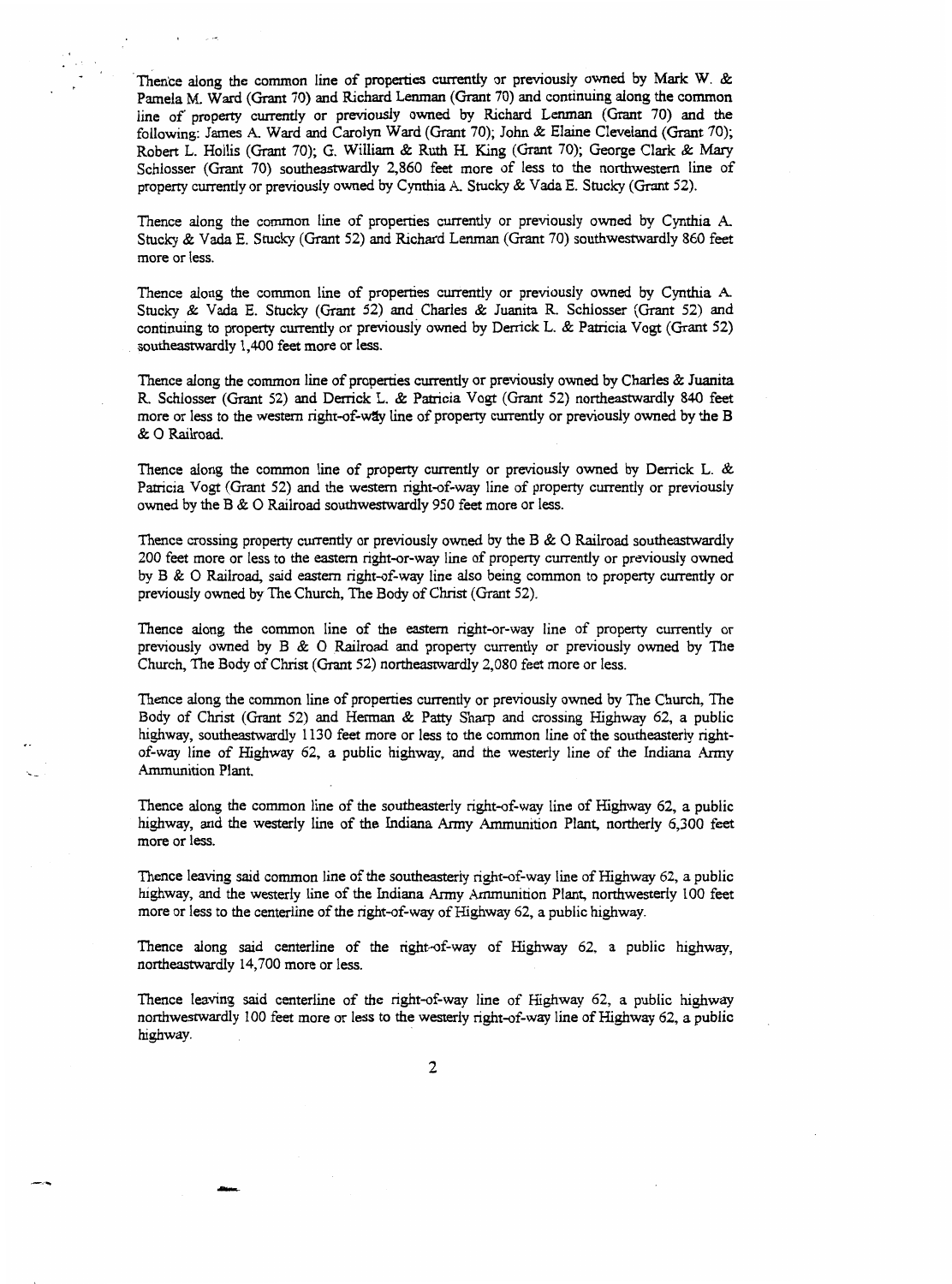Thence along the common line of properties currently or previously **owned** by **Mark W.** & Pamela **M.** Ward *(Grant* **70)** and Richard **Lenman** *(Grant* 70) and continuing along **the** common line of property currently or previously **owned** by Richard Lenman (Grant **70) and the**  following: James **A.** Ward and **Carolyn** Ward (Grant *70);* John & **Elaine** Cleveland (Grant **70);**  Robert L. Hollis (Grant 70); G. William & Ruth H. King (Grant 70); George Clark & *Mary*  Schlosser (Grant *70)* southeastwardly 2,860 feet more of less to the northwestern line of property currently or previously **owned** by Cynthia **A.** Stucky & Vada E. Stucky (Grant **52).** 

Thence along the common line of properties currently or previously **owned** by **Cynthia A**  Stucky & Vada E. Stucky (Grant **52)** and Richard Lenman (Grant *70)* southwestwardly 860 feet more or less.

Thence along the common line of properties currently or previously owned by **Cynthia A**  Stucky & Vada E. Stucky (Grant **52)** and Charles & Juanita R. Schlosser (Grant 52) and continuing to property currently or previously **owned by** Derrick L. & Patricia Vogt (Grant *52)*  southeastwardly 1,400 feet more or less.

Thence along the common line of **properties** currently or previously **owned** by Charles & Juanita R. **Schlosser** (Grant **52)** and **Derrick** L. & Patricia Vogt (Grant **52)** northeastwardly 840 feet more or **less** to the western right-of-way line of property currently or previously owned by **the** B & *0* Railroad.

Thence **dong** the common line of property currently or previously owned by **Derrick L.** & Patricia Vogt (Grant **52) and** the western right-of-way line of property currently or previously **owned** by the B & 0 Railroad southwestwardly 950 feet more or **less.** 

Thence crossing property currently or previously owned by the B & *0* Railroad southeastwardIy 200 feet more or less to the eastern right-or-way line of property currently or previously owned by B & *0* Railroad, said eastern right-of-way line also being common to property currently or previously owned by The Church, The Body of Christ (Grant 52).

Thence along the common line of the eastern right-of-way line of property currently or previously owned by B & 0 Railroad and property currently or previously owned by The Church, The Body of **Christ** (Grant **52)** northeastwardly 2,080 feet more or **less.** 

Thence along the common line of properties currently or previously owned by The Church, The Body of Christ (Grant *52)* **and** Herman & **Patty Sharp** and crossing Highway *62,* a public highway, southeastwardly 1130 feet more or less to the common line of the southeasterly rightof-way line of Highway *62,* a public highway, and the westerly line of the Indiana Army Ammunition Plant.

Thence dong the common line of the southeasterly right-of-way he of Highway *62, a* public highway, and the westerly line of **the Indiana** Army Ammunition Plant, northerly *6,300* feet more or less.

Thence Ieaving said common line of **the** southeasterly right-of-way line of **Highway** *62,* a public highway, and **the** westerly line of the Indiana Army Ammunition Plant, northwesterly 100 *feet*  more or less to the centerline of the right-of-way of Highway **62, a** public **highway.** 

Thence along said centerline of the right-of-way of Highway *62,* a public highway, northeastwardly 14,700 **more** or less.

Thence leaving said centerline of the right-of-way line of Highway 62, a public highway northwestwardly I00 feet more or **less** to the westerly right-of-way line of Highway 62, a public highway.

.<br>Mine.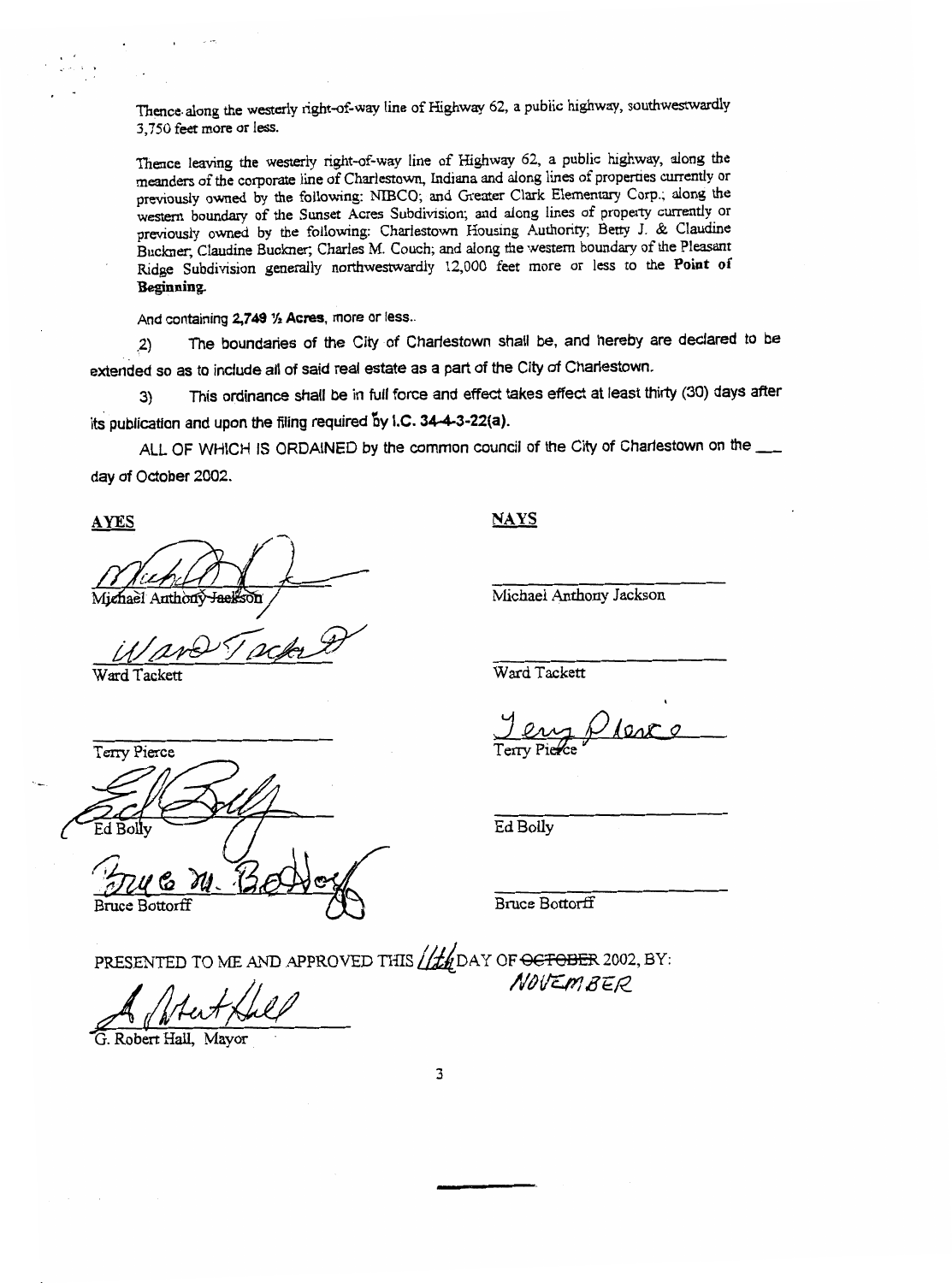Thence along the westerly right-of-way line of Highway *62,* a public highway, southwestwardly **3,750 feet more** or **less.** 

Thence **leaving** the westerly right-of-way line of Highway *62,* a public highway, along the meanders of the corporate line of Charlestown, Indiana and **dong** lines of properties currently or previously **owned** by the following: NIBCO; and Greater Clark Elementary *Corp.;* **along** the western boundary of the Sunset Acres Subdivision; **and dong** lines of property currently or previously **owned** by the following: Charlestown Housing Authority; Betty J. & **Claudine**  Buckner, Claudine Buckner, Charles M. Couch; and **dong** the western boundary of the Pleasant Ridge Subdivision generally northwestwardly 12,000 feet more or **less** to the **Point of Beginning.** 

**And** containing **2,749** 1/2 **Acres, more** or **less..** 

**.2)** The boundaries of the City of Charlestown shall be, and hereby are declared to be extended so as to include all of said real estate as a part of the City of Charlestown.

**3) This** ordinance shall be in full force and effect takes effect at least thirty (30) days after its publication and upon the filing required by I.C. **34-4-3-22(a).** 

ALL OF WHICH **IS** ORDAINED by the common council of the City of Charlestown on the day of October 2002.

<u>AYES</u> NAYS **AND** Michael Anthony Jackson

*Ward Tackett* 

Ward Tackett

Terry Pierce

Michael Anthony Jackson

Ward Tackett

Ed Bolly

Bruce Bottorff

**PRESENTED TO ME AND APPROVED THIS <u>11th</u></u> DAY OF <del>OCTOBER</del> 2002, BY:<br>** *NOVEM BER***<br>** *G. Robert Hall, Mayor* 

**3**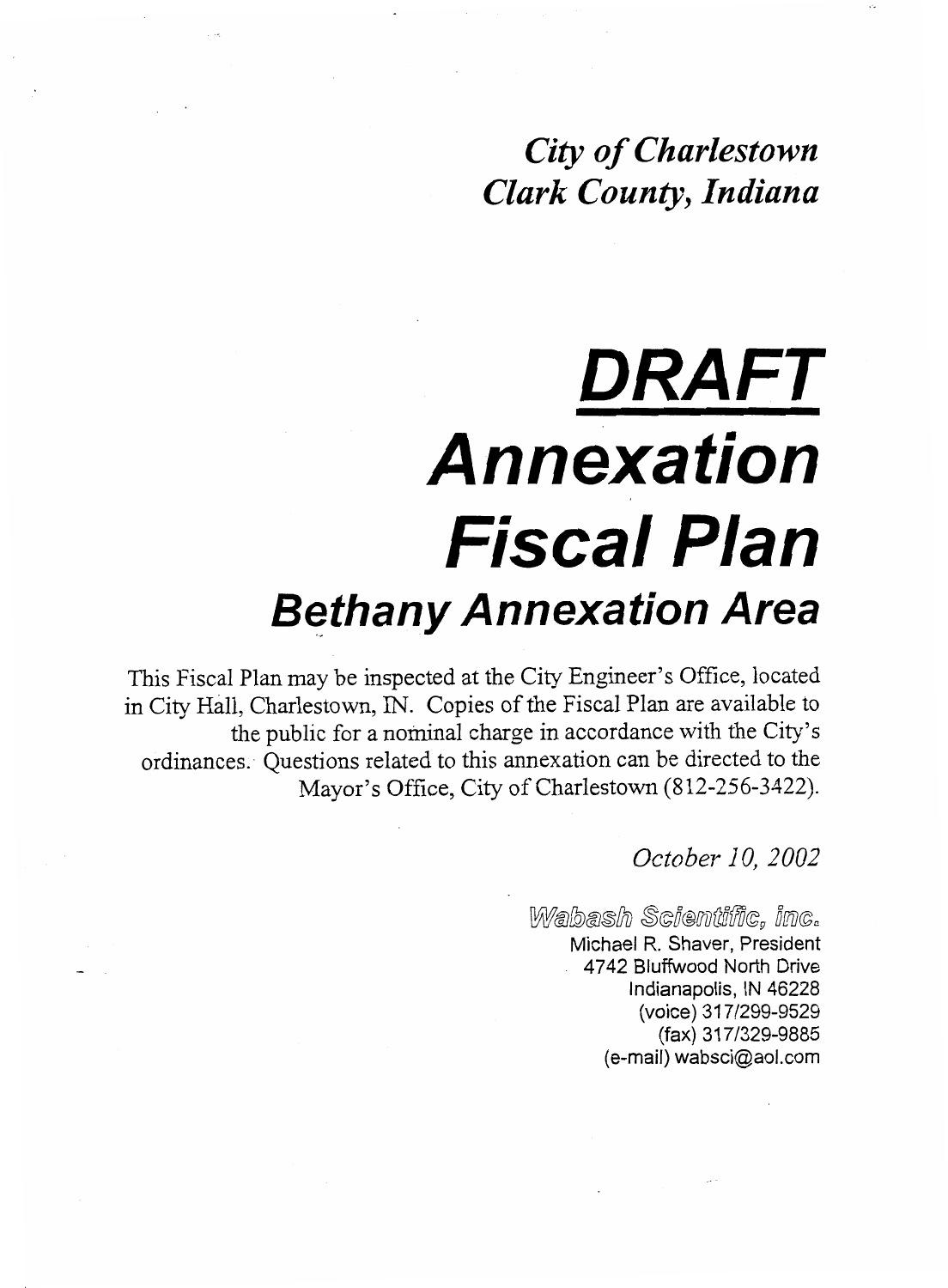*City of Charlestown Clark County, Indiana* 

# *DRAFT Annexation Fis ca I Plan Bethany Annexation Area*

This Fiscal Plan may be inspected at the City Engineer's Office, located in City Hall, Charlestown, IN. Copies of the Fiscal Plan are available to the public for a nominal charge in accordance with the City's ordinances. Questions related to this annexation can be directed to the Mayor's Office, City of Charlestown (812-256-3422).

*October IO, 2002* 

 $W$ abash Scientific, inc. Michael R. Shaver, President 4742 Bluffwood North Drive Indianapolis, IN 46228 (voice) 31 7/299-9529 (fax) 3 1 7/329-9885  $(e$ -mail) wabsci $@$ aol.com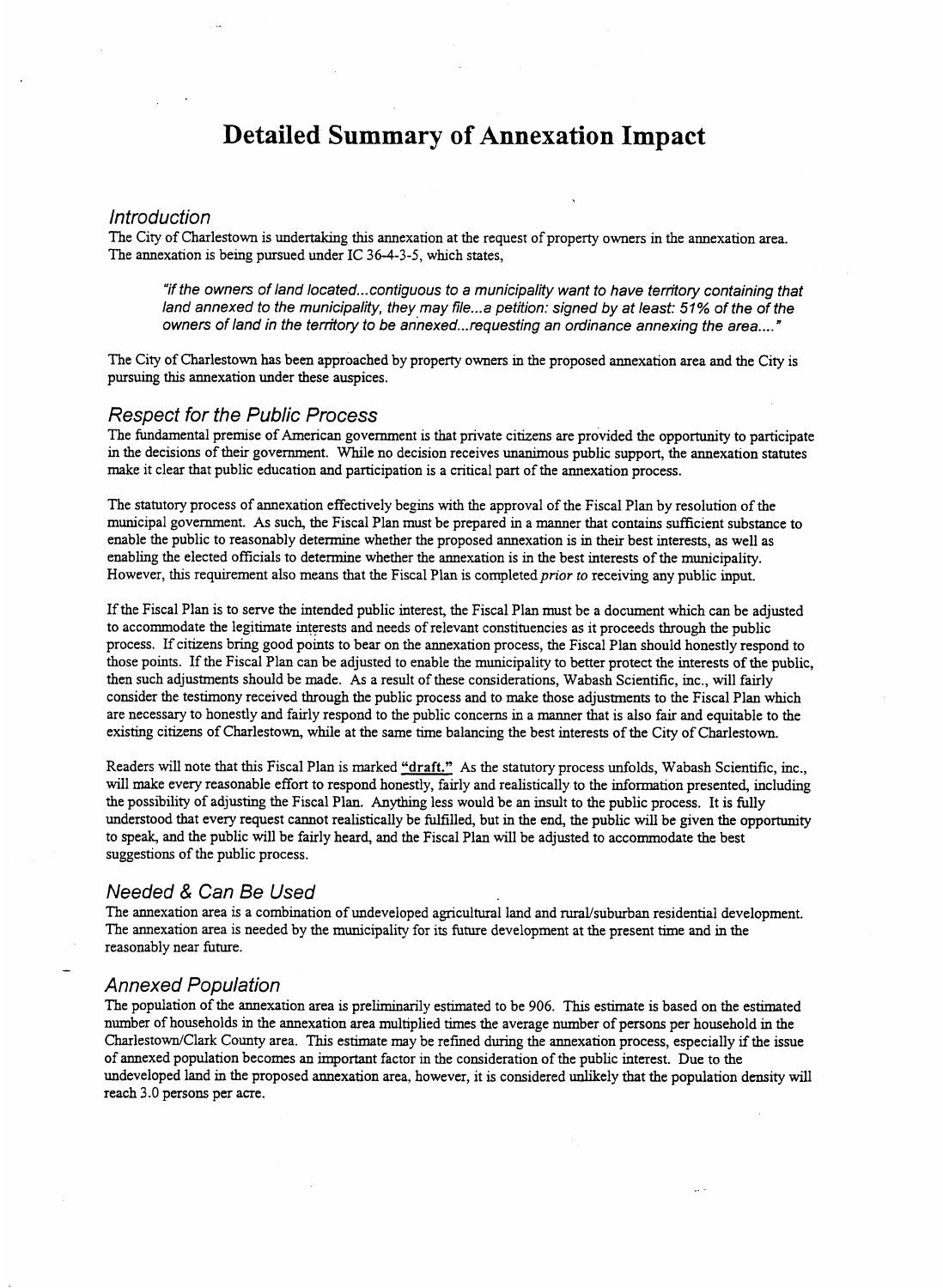## **Detailed Summary of Annexation Impact**

## *In tro du ction*

The City of Charlestown is undertaking this annexation at the request of property owners in the annexation area. The annexation is being pursued under IC **36-4-3-5,** which states,

*"if the owners of land located* ... *contiguous to a municipality want to have territory containing that*  land annexed to the municipality, they may file...a petition: signed by at least: 51% of the of the *owners of land in the territory to be annexed* ... *requesting an ordinance annexing the area...* . *"* 

The City of Charlestown has been approached by property owners in the proposed annexation area and the City is pursuing this annexation under these auspices.

## *Respect for the Public Process*

The fundamental premise of American government is that private citizens are provided the opportunity to participate in the decisions of their government. While no decision receives unanimous public support, the annexation statutes make it clear that public education and participation is a critical part of the annexation process.

The statutory process of annexation effectively begins with the approval of the Fiscal Plan by resolution of the municipal government. **As** such, the Fiscal Plan must be prepared in a manner that contains sufficient substance to enable the public to reasonably determine whether the proposed annexation is **in** their best interests, as well as enabling the elected officials to determine whether the annexation is in the best interests of the municipality. However, this requirement also means that the Fiscal Plan is completed *prior to* receiving any public input.

If the Fiscal Plan is to serve the intended public interest, the Fiscal Plan must be a document which can be adjusted to accommodate the legitimate interests and needs of relevant constituencies as it proceeds through the public process. If citizens bring good points to bear on the annexation process, the Fiscal Plan should honestly respond to those points. If the Fiscal Plan can be adjusted to enable the municipality to better protect the interests of the public, then such adjustments should be made. **As** a result of these considerations, Wabash Scientific, inc., will fairly consider the testimony received through the public process and to make those adjustments to the Fiscal Plan which are necessary to honestly and fairly respond to the public concerns in a manner that is also fair and equitable to the existing citizens of Charlestown, while at the same time balancing the best interests of the City of Charlestown.

Readers will note that this Fiscal Plan is marked **"draft." As** the statutory process unfolds, Wabash Scientific, inc., will make every reasonable effort to respond honestly, fairly and realistically to the information presented, including the possibility of adjusting the Fiscal Plan. Anything less would be an insult to the public process. It is fully understood that every request cannot realistically be fulfilled, but in the end, the public will be given the opportunity to speak, and the public will be fairly heard, and the Fiscal Plan will be adjusted to accommodate the best suggestions of the public process.

## *Needed* & *Can Be Used*

The annexation area is a combination of undeveloped agricultural land and rural/suburban residential development. The annexation area is needed by the municipality for its future development at the present time and in the reasonably near future.

### *Annexed Population*

The population of the annexation area is preliminarily estimated to be 906. This estimate is based on the estimated number of households in the annexation area multiplied times the average number of persons per household in the Charlestown/Clark County area. **This** estimate may be refined during the annexation process, especially **if** the issue of annexed population becomes **an** important factor in the consideration of the public interest. Due to the undeveloped land in the proposed annexation area, however, it is considered unlikely that the population density will reach 3.0 persons per acre.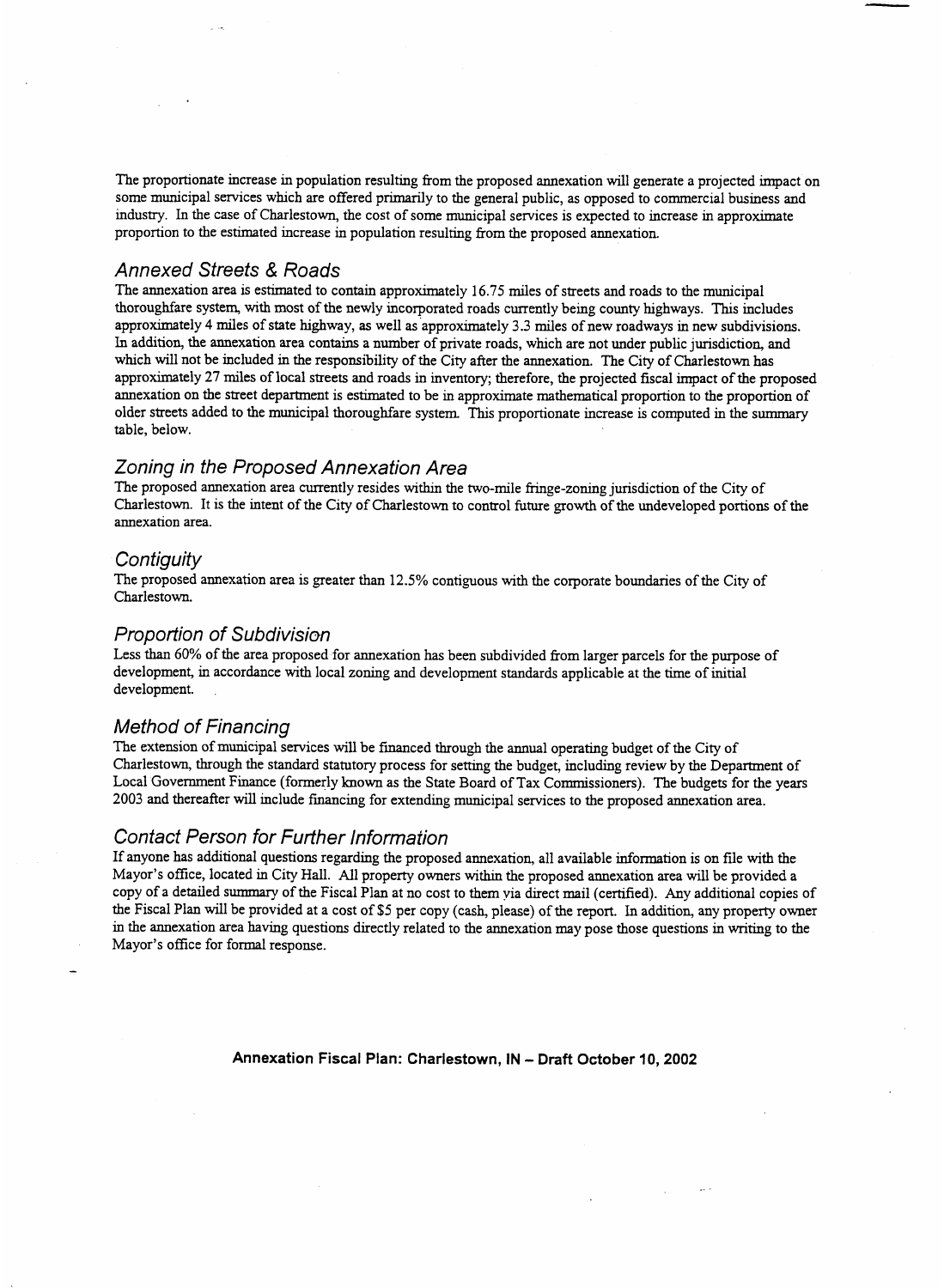The proportionate increase in population resulting from the proposed annexation will generate a projected impact on some municipal services which are offered primarily to the general public, as opposed to commercial business and industry. In the case of Charlestown, the cost of some municipal services is expected to increase in approximate proportion to the estimated increase in population resulting from the proposed annexation.

## *Annexed Streets* & *Roads*

The annexation area is estimated to contain approximately 16.75 miles of streets and roads to the municipal thoroughfare system, with most of the newly incorporated roads currently being county highways. This includes approximately **4** miles of state highway, **as** well as approximately **3.3** miles of new roadways in new subdivisions. In addition, the annexation area contains a number of private roads, which are not under public jurisdiction, and which will not be included in the responsibility of the City after the annexation. The City of Charlestown has approximately **27** miles of local streets and roads in inventory; therefore, the projected fiscal impact of the proposed annexation on the street department is estimated to be in approximate mathematical proportion to the proportion of older streets added to the municipal thoroughfare system **This** proportionate increase is computed in the summary table, below.

## *Zoning in the Proposed Annexation Area*

The proposed annexation area currently resides within the two-mile fringe-zoning jurisdiction of the City of Charlestown. It is the intent of the City of Charlestown to control future growth of the undeveloped portions of the annexation area.

## *Contiguity*

The proposed annexation area is greater than **12.5%** contiguous with the corporate boundaries of the City of Charlestown.

## *Proportion of Subdivision*

Less than *60%* of the area proposed for annexation has been subdivided from larger parcels for the purpose of development, in accordance with local zoning and development **standards** applicable at the time of initial development.

## *Method of Financing*

The extension of municipal services will be financed through the annual operating budget of the City of Charlestown, through the standard statutory process for setting the budget, including review by the Department of Local Government Finance (formerly known as the State Board of Tax Commissioners). The budgets for the years **2003** and thereafter will include financing for extending municipal services to the proposed annexation area.

## *Contact Person for Further information*

If anyone has additional questions regarding the proposed annexation, all available information is on file with the Mayor's office, located in City Hall. All property owners within the proposed annexation area will be provided a copy of **a** detailed *summary* of the Fiscal Plan at no cost to them via direct mail (certified). Any additional copies of the Fiscal Plan will be provided at a cost of \$5 per copy (cash, please) of the report. In addition, any property owner in the annexation area having questions directly related to the annexation may pose those questions in writing to the Mayor's office for formal response.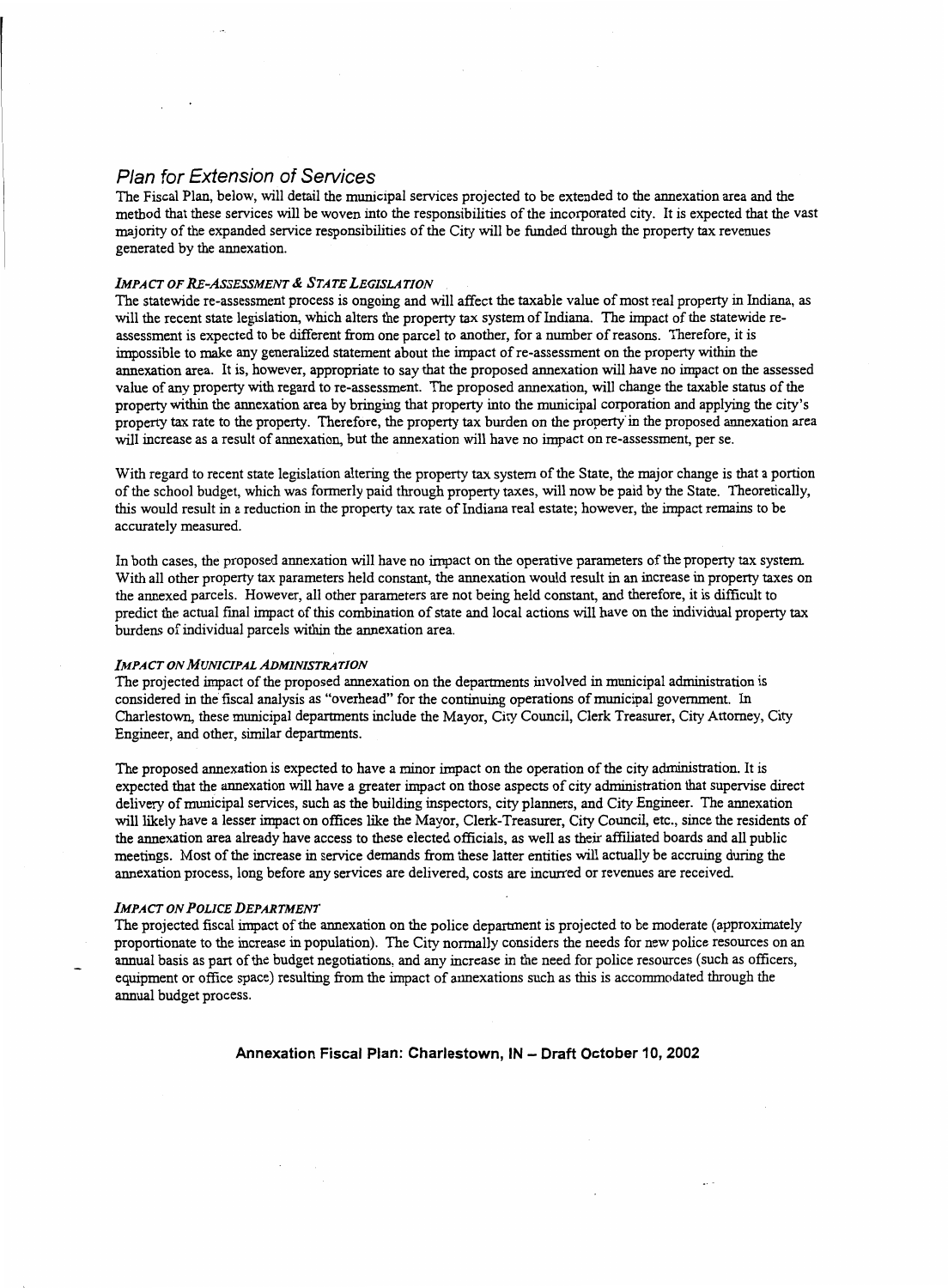## *Plan for Extension of Services*

The Fiscal Plan, below, will detail the municipal services projected to be extended to the annexation area and the method that these services will be woven into the responsibilities of the incorporated city. It is expected that the vast majority of the expanded service responsibilities of the City will be funded through the property tax revenues generated by the annexation.

#### *IMPA CT OF RE-ASSESSMENT* & *STA TE LEGISLA TION*

The statewide re-assessment process is ongoing and will affect the taxable value of most real property in **Indiana, as**  will the recent state legislation, which alters the property **tax** system of **Indiana.** The impact of the statewide reassessment is expected to be different from one parcel to another, for a number of reasons. Therefore, it is impossible to make any generalized statement about the impact of re-assessment on the property within the annexation area. It is, however, appropriate to say that the proposed annexation will have no impact on the assessed value of any property with regard to re-assessment. The proposed annexation, will change the taxable *status* of the property within the annexation area by bringing that property into the municipal corporation and applying the city's property **tax** rate to the property. Therefore, the property tax burden on the property in the proposed annexation area will increase as a result of annexation, but the annexation will have no impact on re-assessment, per se.

With regard to recent state legislation altering the property *tax* system of the State, the major change is that a portion of the school budget, which was formerly paid through property taxes, will now be paid by the State. Theoretically, this would result in a reduction in the property tax rate of Indiana real estate; however, the impact remains to be accurately measured.

In both cases, the proposed annexation will have no impact on the operative parameters of the property tax system. With all other property *tax* parameters held constant, the annexation would result in **an** increase in property taxes on the annexed parcels. However, all other parameters are not being held constant, and therefore, it is difficult to predict the actual final impact of **this** combination of state and local actions will have on the individual property tax burdens of individual parcels within the annexation area.

#### *IMPACT ON MUNICIPAL ADMINISTRA TION*

The projected impact of the proposed annexation on the departments involved in municipal administration is considered in the fiscal analysis as "overhead" for the continuing operations of municipal government. In Charlestown, these municipal departments include the Mayor, City Council, Clerk Treasurer, City Attorney, City Engineer, and other, similar departments.

The proposed annexation is expected to have a minor impact on the operation of the city administration. It is expected that the annexation will have a greater impact on those aspects of city administration that supervise direct delivery of municipal services, such as the building inspectors, city planners, and City Engineer. The annexation will likely have a lesser impact on offices like the Mayor, Clerk-Treasurer, City Council, etc., since the residents of the annexation area already have access to these elected officials, **as** well as their affiliated boards and all public meetings. Most of the increase in service demands from these latter entities will actually be accruing during the annexation process, long before any services are delivered, costs are incurred or revenues are received.

#### *IMPACT ON POLICE DEPARTMENT*

The projected fiscal impact of the annexation on the police department is projected to be moderate (approximately proportionate to the increase in population). The City normally considers the needs for new police resources on **an**  annual basis as part of the budget negotiations, and any increase in the need for police resources (such as officers, equipment or office space) resulting from the impact of annexations such as this is accommodated through the annual budget process.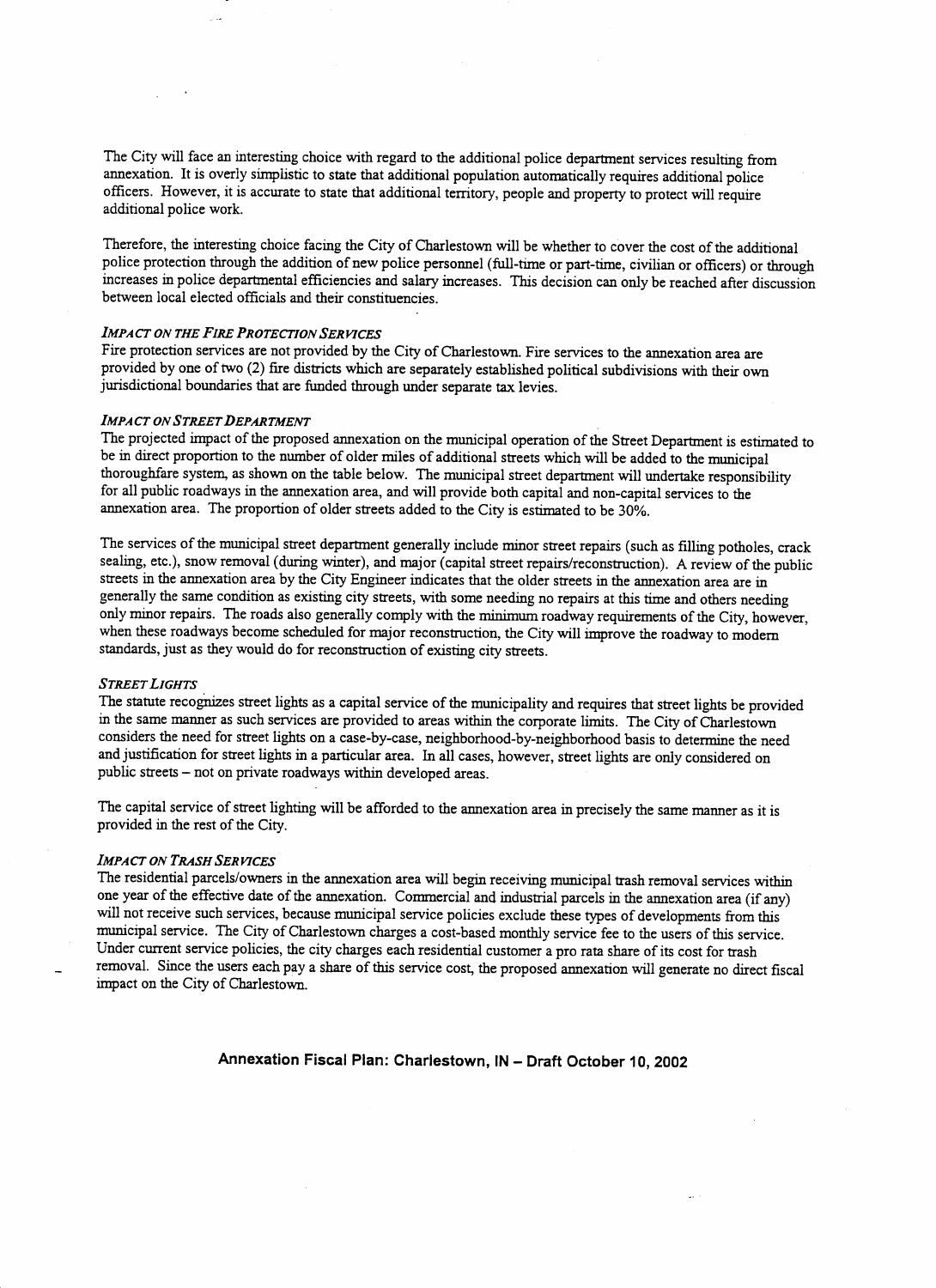The City will face **an** interesting choice with regard to the additional police department services resulting from annexation. It is overly simplistic to state that additional population automatically requires additional police officers. However, it is accurate to state that additional territory, people and property to protect will require additional police work.

Therefore, the interesting choice facing the City of Charlestown will be whether to cover the cost of the additional police protection through the addition of new police personnel (full-time or part-time, civilian or officers) or through increases in police departmental efficiencies and salary increases. **This** decision can only be reached after discussion between local elected officials and their constituencies.

## *IMPACT ON THE FIRE PROTECTION SER VICES*

Fire protection services are not provided by the City of Charlestown. Fire services to the annexation area are provided by one of two **(2)** fire districts which are separately established political subdivisions with their own jurisdictional boundaries that are funded through under separate tax levies.

#### *IMPACT ON STREET DEPARTMENT*

The projected impact of the proposed annexation on the municipal operation of the Street Department is estimated to be in direct proportion to the number of older miles of additional streets which will be added to the municipal thoroughfare system, as shown on the table below. The municipal street department will undertake responsibility for all public roadways in the annexation area, and will provide both capital and non-capital services to the annexation area. The proportion of older streets added to the City is estimated to be **30%.** 

The services of the municipal street department generally include minor street repairs (such as filling potholes, crack sealing, etc.), snow removal (during winter), and major (capital street repairs/reconstruction). **A** review of the public streets in the annexation area by the City Engineer indicates that the older streets in the annexation area are in generally the same condition as existing city streets, with some needing no repairs at this time and others needing only minor repairs. The roads also generally comply with the **minimum** roadway requirements of the City, however, when these roadways become scheduled for major reconstruction, the City will improve the roadway to modem standards, just as they would do for reconstruction of existing city streets.

#### *STREET LIGHTS*

The statute recognizes street lights as a capital service of the municipality and requires that street lights be provided in the same manner as such services are provided to areas within the corporate limits. The City of Charlestown considers the need for street lights on a case-by-case, neighborhood-by-neighborhood basis to determine the need and justification for street lights in a particular area. In all cases, however, street lights are only considered on public streets - not on private roadways within developed areas.

The capital service of street lighting will be afforded to the annexation area in precisely the same manner as it is provided in the rest of the City.

#### *IMPACT ON TRASH SER VICES*

The residential parcels/owners in the annexation area will begin receiving municipal trash removal services within one year of the effective date of the annexation. Commercial and industrial parcels in the annexation area (if any) will not receive such services, because municipal service policies exclude these types of developments from this municipal service. The City of Charlestown charges a cost-based monthly service fee to the users of this service. Under current service policies, the city charges each residential customer a pro rata share of its cost for trash removal. Since the users each pay a share of this service cost, the proposed annexation will generate no direct fiscal impact on the City of Charlestown.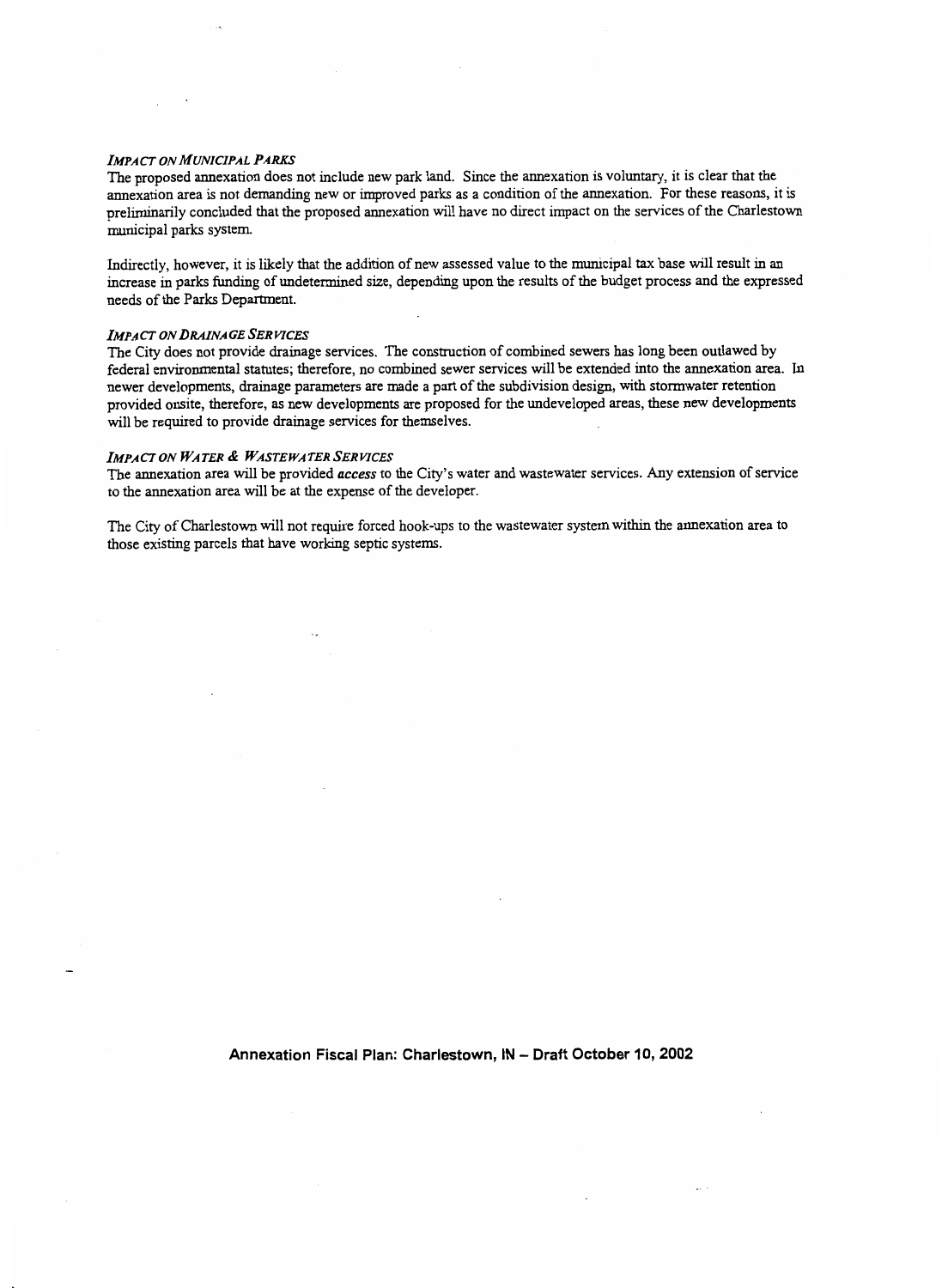#### *IMPACT ON MUNICIPAL PARKS*

The proposed annexation does not include new park land. Since the annexation is voluntary, it is clear that the annexation area is not demanding new or improved parks as a condition of the annexation. For these reasons, it is preliminarily concluded that the proposed annexation will have no direct impact on the services of the Charlestown municipal parks system.

Indirectly, however, it is likely that the addition of new assessed value to the municipal tax base will result in **an**  increase in parks funding of undetermined size, depending upon the results of the budget process and the expressed needs of the Parks Department.

#### *IMPACT ON DRAINAGE SERVICES*

The City does not provide drainage services. The construction of combined sewers has long been outlawed by federal environmental statutes; therefore, no combined sewer services will be extended into the annexation area. In newer developments, drainage parameters are made a part of the subdivision design, with stormwater retention provided onsite, therefore, as new developments are proposed for the undeveloped areas, these new developments will be required to provide drainage services for themselves.

#### **IMPACT ON WATER & WASTEWATER SERVICES**

The annexation area will be provided *access* to the City's water and wastewater services. Any extension of service to the annexation area will be at the expense of the developer.

The City of Charlestown will not require forced hook-ups to the wastewater system within the annexation area to those existing parcels that have working septic systems.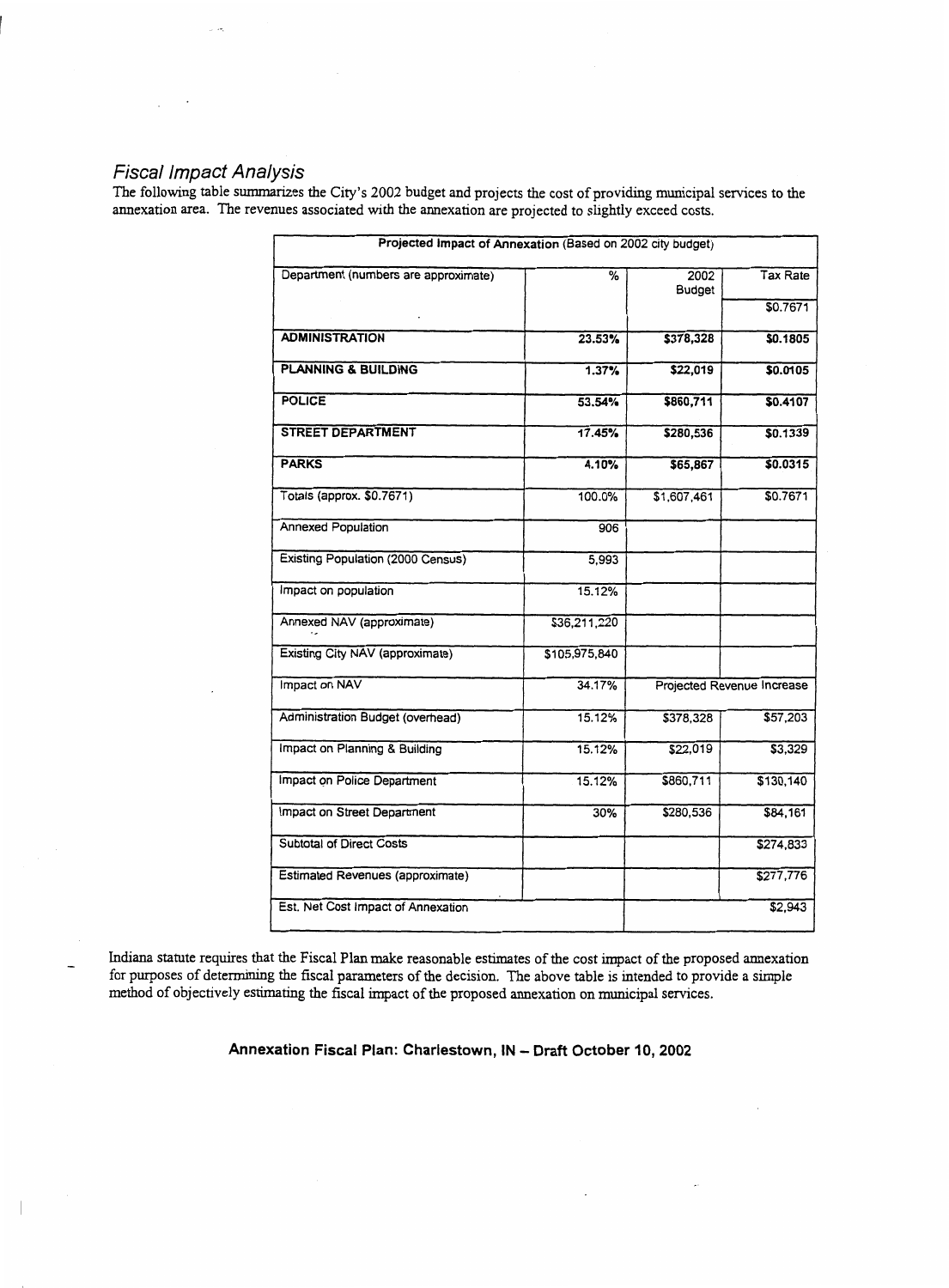## **Fiscal Impact Analysis**

The following table summarizes the City's 2002 budget and projects the cost of providing municipal services to the annexation area. The revenues associated with the annexation are projected to slightly exceed costs.

| Projected Impact of Annexation (Based on 2002 city budget) |               |                            |           |  |
|------------------------------------------------------------|---------------|----------------------------|-----------|--|
| Department (numbers are approximate)                       | ℅             | 2002<br>Budget             | Tax Rate  |  |
|                                                            |               |                            | \$0.7671  |  |
| <b>ADMINISTRATION</b>                                      | 23.53%        | \$378,328                  | \$0.1805  |  |
| <b>PLANNING &amp; BUILDING</b>                             | 1.37%         | \$22,019                   | \$0.0105  |  |
| <b>POLICE</b>                                              | 53.54%        | \$860,711                  | \$0.4107  |  |
| <b>STREET DEPARTMENT</b>                                   | 17.45%        | \$280,536                  | \$0.1339  |  |
| <b>PARKS</b>                                               | 4.10%         | \$65,867                   | \$0.0315  |  |
| Totals (approx. \$0.7671)                                  | 100.0%        | \$1,607,461                | \$0.7671  |  |
| <b>Annexed Population</b>                                  | 906           |                            |           |  |
| <b>Existing Population (2000 Census)</b>                   | 5,993         |                            |           |  |
| impact on population                                       | 15.12%        |                            |           |  |
| Annexed NAV (approximate)                                  | \$36,211,220  |                            |           |  |
| Existing City NAV (approximate)                            | \$105,975,840 |                            |           |  |
| Impact on NAV                                              | 34.17%        | Projected Revenue Increase |           |  |
| Administration Budget (overhead)                           | 15.12%        | \$378,328                  | \$57,203  |  |
| Impact on Planning & Building                              | 15.12%        | \$22,019                   | \$3,329   |  |
| Impact on Police Department                                | 15.12%        | \$860,711                  | \$130,140 |  |
| Impact on Street Department                                | 30%           | \$280,536                  | \$84,161  |  |
| <b>Subtotal of Direct Costs</b>                            |               |                            | \$274,833 |  |
| <b>Estimated Revenues (approximate)</b>                    |               |                            | \$277,776 |  |
| Est. Net Cost Impact of Annexation                         |               |                            | \$2,943   |  |

Indiana statute requires that the Fiscal Plan make reasonable estimates of the cost impact of the proposed annexation for purposes of determining the fiscal parameters of the decision. The above table is intended to provide a simple method of objectively estimating the fiscal impact of the proposed annexation on municipal services.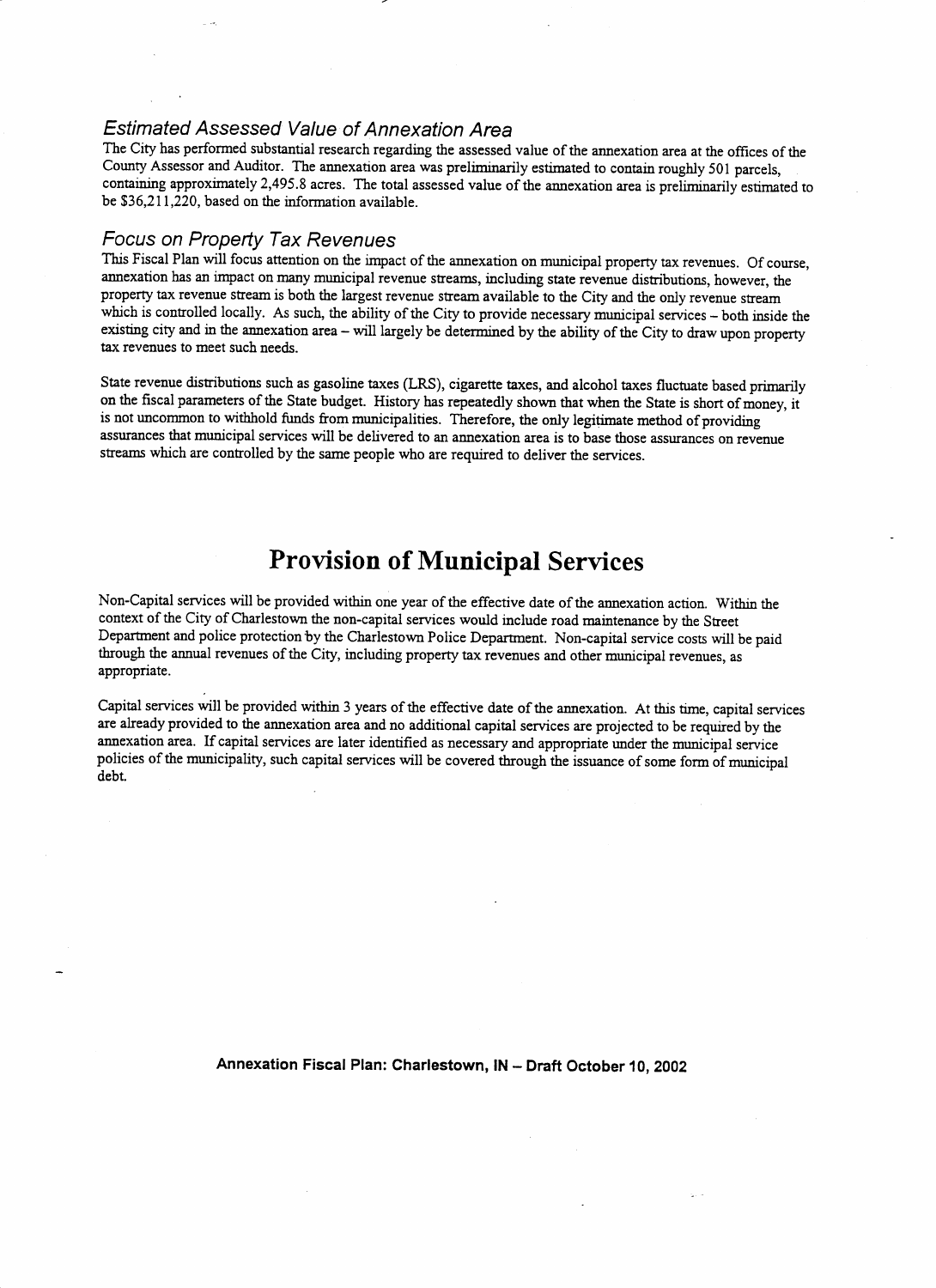## *Estimated Assessed Value of Annexation Area*

The City has performed substantial research regarding the assessed value of the annexation area at the offices of the County Assessor and Auditor. The annexation area was preliminarily estimated to contain roughly 501 parcels, containing approximately 2,495.8 acres. The total assessed value of the annexation area is preliminarily estimated to be \$36,2 1 1,220, based on the information available.

## *Focus on Property Tax Revenues*

-

This Fiscal Plan will focus attention on the impact of the annexation on municipal property tax revenues. Of course, annexation **has an** impact on many municipal revenue streams, including state revenue distributions, however, the property tax revenue stream is both the largest revenue stream available to the City and the only revenue stream which is controlled locally. As such, the ability of the City to provide necessary municipal services - both inside the existing city and in the annexation area - will largely be determined by the ability of the City to draw upon property **tax** revenues to meet such needs.

State revenue distributions such as gasoline taxes **(LRS),** cigarette taxes, and alcohol taxes fluctuate based primarily on the fiscal parameters of the State budget. History **has** repeatedly shown that when the State is short of money, it is not uncommon to withhold funds from municipalities. Therefore, the only legitimate method of providing assurances that municipal services will be delivered to **an** annexation area is to base those assurances on revenue streams which are controlled by the same people who are required to deliver the services.

# **Provision of Municipal Services**

Non-Capital services will be provided within one year of the effective date of the annexation action. Within the context of the City of Charlestown the non-capital services would include road maintenance by the Street Department and police protection by the Charlestown Police Department. Non-capital service costs will be paid through the annual revenues of the City, including property tax revenues and other municipal revenues, as appropriate.

Capital services will be provided within 3 years of the effective date of the annexation. At this time, capital services are already provided to the annexation area and no additional capital services are projected to be required by the annexation area. If capital services are later identified as necessary and appropriate under the municipal service policies of the municipality, such capital services will be covered through the issuance of some form of municipal debt.